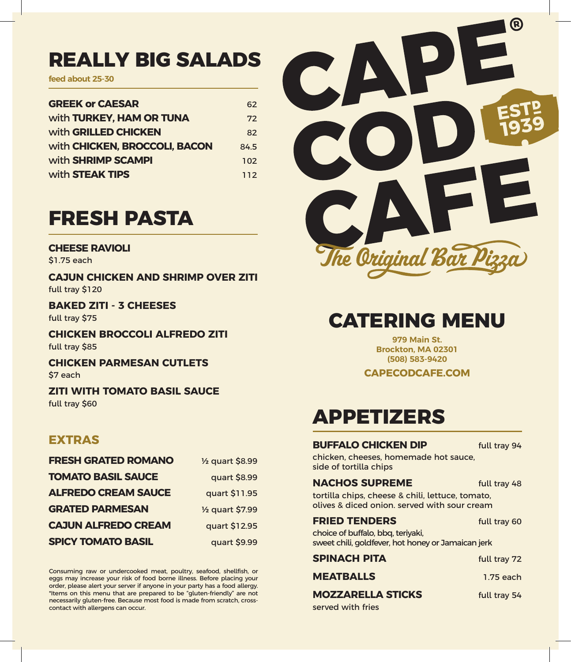### **REALLY BIG SALADS**

**feed about 25-30**

| <b>GREEK or CAESAR</b>          | 62   |
|---------------------------------|------|
| with <b>TURKEY, HAM OR TUNA</b> | 72   |
| with GRILLED CHICKEN            | 82   |
| with CHICKEN, BROCCOLI, BACON   | 84.5 |
| with <b>SHRIMP SCAMPI</b>       | 102  |
| with <b>STEAK TIPS</b>          | 112  |

## **FRESH PASTA**

#### **CHEESE RAVIOLI**

\$1.75 each

**CAJUN CHICKEN AND SHRIMP OVER ZITI** full tray \$120

**BAKED ZITI - 3 CHEESES** full tray \$75

**CHICKEN BROCCOLI ALFREDO ZITI** full tray \$85

**CHICKEN PARMESAN CUTLETS** \$7 each

**ZITI WITH TOMATO BASIL SAUCE** full tray \$60

### **EXTRAS**

| <b>FRESH GRATED ROMANO</b> | 1/ <sub>2</sub> quart \$8.99 |
|----------------------------|------------------------------|
| <b>TOMATO BASIL SAUCE</b>  | quart \$8.99                 |
| <b>ALFREDO CREAM SAUCE</b> | quart \$11.95                |
| <b>GRATED PARMESAN</b>     | 1/ <sub>2</sub> quart \$7.99 |
| <b>CAJUN ALFREDO CREAM</b> | quart \$12.95                |
| <b>SPICY TOMATO BASIL</b>  | quart \$9.99                 |

Consuming raw or undercooked meat, poultry, seafood, shellfish, or eggs may increase your risk of food borne illness. Before placing your order, please alert your server if anyone in your party has a food allergy. \*Items on this menu that are prepared to be "gluten-friendly" are not necessarily gluten-free. Because most food is made from scratch, crosscontact with allergens can occur.



## **CATERING MENU**

**979 Main St. Brockton, MA 02301 (508) 583-9420**

**CAPECODCAFE.COM**

# **APPETIZERS**

### **BUFFALO CHICKEN DIP** full tray 94

chicken, cheeses, homemade hot sauce, side of tortilla chips

#### **NACHOS SUPREME** full tray 48

tortilla chips, cheese & chili, lettuce, tomato, olives & diced onion. served with sour cream

| full tray 60 |
|--------------|
|              |

choice of buffalo, bbq, teriyaki, sweet chili, goldfever, hot honey or Jamaican jerk

| SPINACH PITA             | full tray 72 |
|--------------------------|--------------|
| <b>MEATBALLS</b>         | 1.75 each    |
| <b>MOZZARELLA STICKS</b> | full trav 54 |
| served with fries        |              |